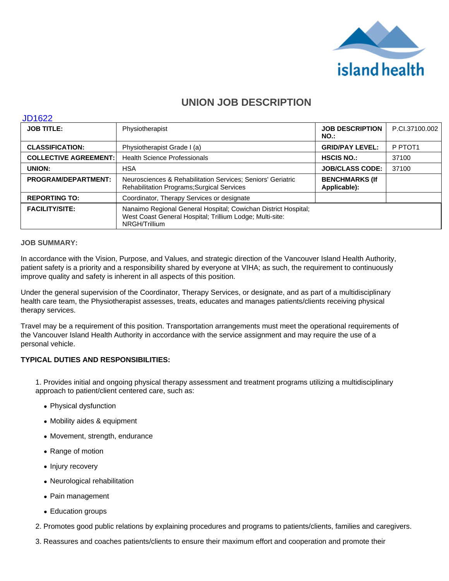

# **UNION JOB DESCRIPTION**

#### JD1622

| <b>JOB TITLE:</b>            | Physiotherapist                                                                                                                             | <b>JOB DESCRIPTION</b><br>$NO.$ :     | P.Cl.37100.002      |
|------------------------------|---------------------------------------------------------------------------------------------------------------------------------------------|---------------------------------------|---------------------|
| <b>CLASSIFICATION:</b>       | Physiotherapist Grade I (a)                                                                                                                 | <b>GRID/PAY LEVEL:</b>                | P PTOT <sub>1</sub> |
| <b>COLLECTIVE AGREEMENT:</b> | <b>Health Science Professionals</b>                                                                                                         | <b>HSCIS NO.:</b>                     | 37100               |
| UNION:                       | <b>HSA</b>                                                                                                                                  | <b>JOB/CLASS CODE:</b>                | 37100               |
| <b>PROGRAM/DEPARTMENT:</b>   | Neurosciences & Rehabilitation Services; Seniors' Geriatric<br><b>Rehabilitation Programs; Surgical Services</b>                            | <b>BENCHMARKS (If</b><br>Applicable): |                     |
| <b>REPORTING TO:</b>         | Coordinator, Therapy Services or designate                                                                                                  |                                       |                     |
| <b>FACILITY/SITE:</b>        | Nanaimo Regional General Hospital; Cowichan District Hospital;<br>West Coast General Hospital; Trillium Lodge; Multi-site:<br>NRGH/Trillium |                                       |                     |

## **JOB SUMMARY:**

In accordance with the Vision, Purpose, and Values, and strategic direction of the Vancouver Island Health Authority, patient safety is a priority and a responsibility shared by everyone at VIHA; as such, the requirement to continuously improve quality and safety is inherent in all aspects of this position.

Under the general supervision of the Coordinator, Therapy Services, or designate, and as part of a multidisciplinary health care team, the Physiotherapist assesses, treats, educates and manages patients/clients receiving physical therapy services.

Travel may be a requirement of this position. Transportation arrangements must meet the operational requirements of the Vancouver Island Health Authority in accordance with the service assignment and may require the use of a personal vehicle.

# **TYPICAL DUTIES AND RESPONSIBILITIES:**

1. Provides initial and ongoing physical therapy assessment and treatment programs utilizing a multidisciplinary approach to patient/client centered care, such as:

- Physical dysfunction
- Mobility aides & equipment
- Movement, strength, endurance
- Range of motion
- Injury recovery
- Neurological rehabilitation
- Pain management
- Education groups
- 2. Promotes good public relations by explaining procedures and programs to patients/clients, families and caregivers.
- 3. Reassures and coaches patients/clients to ensure their maximum effort and cooperation and promote their